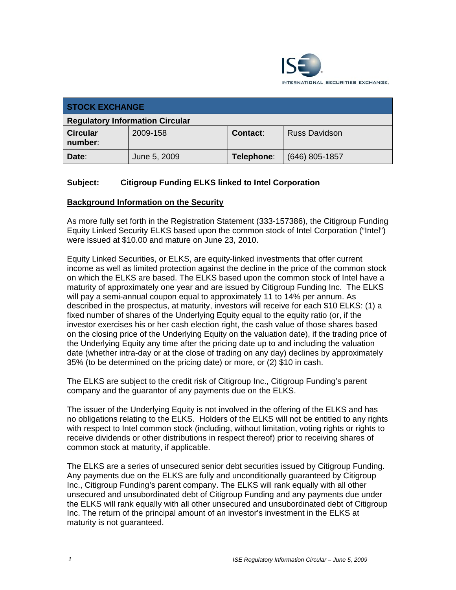

| <b>STOCK EXCHANGE</b>                  |              |            |                      |
|----------------------------------------|--------------|------------|----------------------|
| <b>Regulatory Information Circular</b> |              |            |                      |
| <b>Circular</b><br>number:             | 2009-158     | Contact:   | <b>Russ Davidson</b> |
| Date:                                  | June 5, 2009 | Telephone: | $(646)$ 805-1857     |

## **Subject: Citigroup Funding ELKS linked to Intel Corporation**

#### **Background Information on the Security**

As more fully set forth in the Registration Statement (333-157386), the Citigroup Funding Equity Linked Security ELKS based upon the common stock of Intel Corporation ("Intel") were issued at \$10.00 and mature on June 23, 2010.

Equity Linked Securities, or ELKS, are equity-linked investments that offer current income as well as limited protection against the decline in the price of the common stock on which the ELKS are based. The ELKS based upon the common stock of Intel have a maturity of approximately one year and are issued by Citigroup Funding Inc. The ELKS will pay a semi-annual coupon equal to approximately 11 to 14% per annum. As described in the prospectus, at maturity, investors will receive for each \$10 ELKS: (1) a fixed number of shares of the Underlying Equity equal to the equity ratio (or, if the investor exercises his or her cash election right, the cash value of those shares based on the closing price of the Underlying Equity on the valuation date), if the trading price of the Underlying Equity any time after the pricing date up to and including the valuation date (whether intra-day or at the close of trading on any day) declines by approximately 35% (to be determined on the pricing date) or more, or (2) \$10 in cash.

The ELKS are subject to the credit risk of Citigroup Inc., Citigroup Funding's parent company and the guarantor of any payments due on the ELKS.

The issuer of the Underlying Equity is not involved in the offering of the ELKS and has no obligations relating to the ELKS. Holders of the ELKS will not be entitled to any rights with respect to Intel common stock (including, without limitation, voting rights or rights to receive dividends or other distributions in respect thereof) prior to receiving shares of common stock at maturity, if applicable.

The ELKS are a series of unsecured senior debt securities issued by Citigroup Funding. Any payments due on the ELKS are fully and unconditionally guaranteed by Citigroup Inc., Citigroup Funding's parent company. The ELKS will rank equally with all other unsecured and unsubordinated debt of Citigroup Funding and any payments due under the ELKS will rank equally with all other unsecured and unsubordinated debt of Citigroup Inc. The return of the principal amount of an investor's investment in the ELKS at maturity is not guaranteed.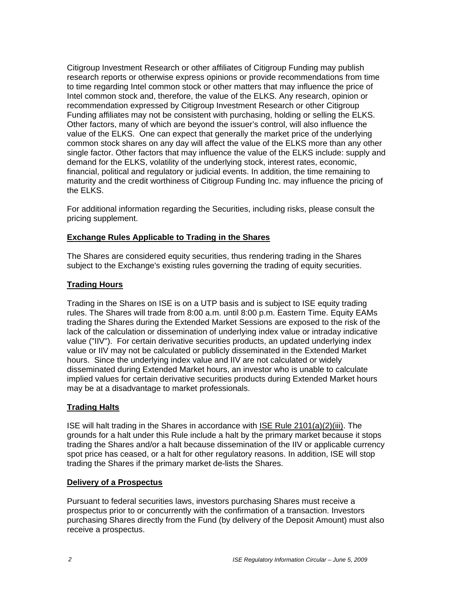Citigroup Investment Research or other affiliates of Citigroup Funding may publish research reports or otherwise express opinions or provide recommendations from time to time regarding Intel common stock or other matters that may influence the price of Intel common stock and, therefore, the value of the ELKS. Any research, opinion or recommendation expressed by Citigroup Investment Research or other Citigroup Funding affiliates may not be consistent with purchasing, holding or selling the ELKS. Other factors, many of which are beyond the issuer's control, will also influence the value of the ELKS. One can expect that generally the market price of the underlying common stock shares on any day will affect the value of the ELKS more than any other single factor. Other factors that may influence the value of the ELKS include: supply and demand for the ELKS, volatility of the underlying stock, interest rates, economic, financial, political and regulatory or judicial events. In addition, the time remaining to maturity and the credit worthiness of Citigroup Funding Inc. may influence the pricing of the ELKS.

For additional information regarding the Securities, including risks, please consult the pricing supplement.

#### **Exchange Rules Applicable to Trading in the Shares**

The Shares are considered equity securities, thus rendering trading in the Shares subject to the Exchange's existing rules governing the trading of equity securities.

## **Trading Hours**

Trading in the Shares on ISE is on a UTP basis and is subject to ISE equity trading rules. The Shares will trade from 8:00 a.m. until 8:00 p.m. Eastern Time. Equity EAMs trading the Shares during the Extended Market Sessions are exposed to the risk of the lack of the calculation or dissemination of underlying index value or intraday indicative value ("IIV"). For certain derivative securities products, an updated underlying index value or IIV may not be calculated or publicly disseminated in the Extended Market hours. Since the underlying index value and IIV are not calculated or widely disseminated during Extended Market hours, an investor who is unable to calculate implied values for certain derivative securities products during Extended Market hours may be at a disadvantage to market professionals.

## **Trading Halts**

ISE will halt trading in the Shares in accordance with ISE Rule 2101(a)(2)(iii). The grounds for a halt under this Rule include a halt by the primary market because it stops trading the Shares and/or a halt because dissemination of the IIV or applicable currency spot price has ceased, or a halt for other regulatory reasons. In addition, ISE will stop trading the Shares if the primary market de-lists the Shares.

#### **Delivery of a Prospectus**

Pursuant to federal securities laws, investors purchasing Shares must receive a prospectus prior to or concurrently with the confirmation of a transaction. Investors purchasing Shares directly from the Fund (by delivery of the Deposit Amount) must also receive a prospectus.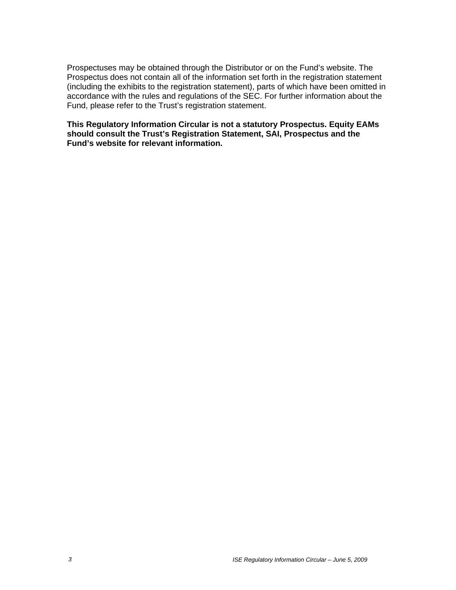Prospectuses may be obtained through the Distributor or on the Fund's website. The Prospectus does not contain all of the information set forth in the registration statement (including the exhibits to the registration statement), parts of which have been omitted in accordance with the rules and regulations of the SEC. For further information about the Fund, please refer to the Trust's registration statement.

#### **This Regulatory Information Circular is not a statutory Prospectus. Equity EAMs should consult the Trust's Registration Statement, SAI, Prospectus and the Fund's website for relevant information.**